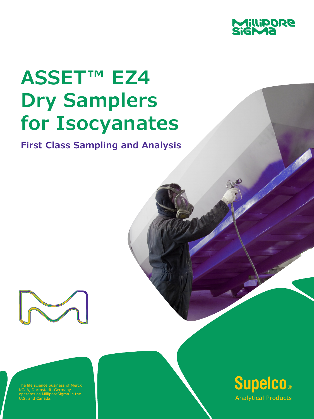

# **ASSET™ EZ4 Dry Samplers for Isocyanates**

**First Class Sampling and Analysis**



he life science business of Merck KGaA, Darmstadt, Germany operates as MilliporeSigma in the U.S. and Canada.

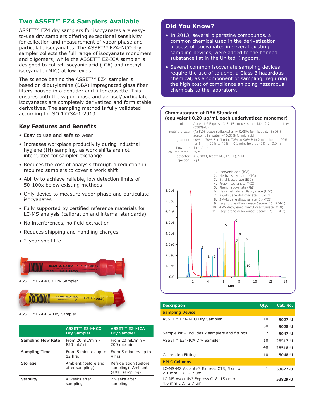## **Two ASSET™ EZ4 Samplers Available**

ASSET™ EZ4 dry samplers for isocyanates are easyto-use dry samplers offering exceptional sensitivity for collection and measurement of vapor phase and particulate isocyanates. The ASSET™ EZ4-NCO dry sampler collects the full range of isocyanate monomers and oligomers; while the ASSET™ EZ-ICA sampler is designed to collect isocyanic acid (ICA) and methyl isocyanate (MIC) at low levels.

The science behind the ASSET™ EZ4 sampler is based on dibutylamine (DBA) impregnated glass fiber filters housed in a denuder and filter cassette. This ensures both the vapor phase and aerosol/particulate isocyanates are completely derivatized and form stable derivatives. The sampling method is fully validated according to ISO 17734-1:2013.

### **Key Features and Benefits**

- Easy to use and safe to wear
- Increases workplace productivity during industrial hygiene (IH) sampling, as work shifts are not interrupted for sampler exchange
- Reduces the cost of analysis through a reduction in required samplers to cover a work shift
- Ability to achieve reliable, low detection limits of 50-100x below existing methods
- Only device to measure vapor phase and particulate isocyanates
- Fully supported by certified reference materials for LC-MS analysis (calibration and internal standards)
- No interferences, no field extraction
- Reduces shipping and handling charges
- 2-year shelf life



**ASSET"EZ4-ICA** 

ASSET™ EZ4-ICA Dry Sampler

|                           | <b>ASSET™ EZ4-NCO</b><br><b>Dry Sampler</b> | ASSET <sup>™</sup> EZ4-ICA<br><b>Dry Sampler</b>                 |
|---------------------------|---------------------------------------------|------------------------------------------------------------------|
| <b>Sampling Flow Rate</b> | From 20 mL/min $-$<br>850 mL/min            | From 20 mL/min $-$<br>200 mL/min                                 |
| <b>Sampling Time</b>      | From 5 minutes up to<br>12 hrs.             | From 5 minutes up to<br>4 hrs.                                   |
| <b>Storage</b>            | Ambient (before and<br>after sampling)      | Refrigeration (before)<br>sampling); Ambient<br>(after sampling) |
| <b>Stability</b>          | 4 weeks after<br>sampling                   | 2 weeks after<br>sampling                                        |

Lot # 12345

## **Did You Know?**

- In 2013, several piperazine compounds, a common chemical used in the derivatization process of isocyanates in several existing sampling devices, were added to the banned substance list in the United Kingdom.
- Several common isocyanate sampling devices require the use of toluene, a Class 3 hazardous chemical, as a component of sampling, requiring the high cost of compliance shipping hazardous chemicals to the laboratory.

#### **Chromatogram of DBA Standard (equivalent 0.20 µg/mL each underivatized monomer)**



| <b>Description</b>                                                                                   |    | Cat. No. |
|------------------------------------------------------------------------------------------------------|----|----------|
| <b>Sampling Device</b>                                                                               |    |          |
| ASSET <sup>™</sup> EZ4-NCO Dry Sampler                                                               |    | 5027-U   |
|                                                                                                      | 50 | 5028-U   |
| Sample kit - Includes 2 samplers and fittings                                                        | 2  | 5047-U   |
| ASSET <sup>™</sup> EZ4-ICA Dry Sampler                                                               | 10 | 28517-U  |
|                                                                                                      | 40 | 28518-U  |
| <b>Calibration Fitting</b>                                                                           | 10 | 5048-U   |
| <b>HPLC Columns</b>                                                                                  |    |          |
| LC-MS-MS Ascentis <sup>®</sup> Express C18, 5 cm x<br>$2.1 \, \text{mm}$ I.D., $2.7 \, \text{\mu m}$ |    | 53822-U  |
| LC-MS Ascentis <sup>®</sup> Express C18, 15 cm x<br>4.6 mm I.D., 2.7 µm                              | 1  | 53829-U  |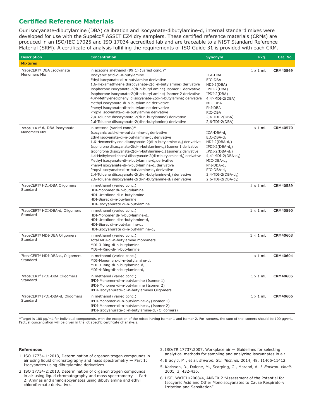## **Certified Reference Materials**

Our isocyanate-dibutylamine (DBA) calibration and isocyanate-dibutylamine-d<sub>9</sub> internal standard mixes were developed for use with the Supelco® ASSET EZ4 dry samplers. These certified reference materials (CRMs) are produced in an ISO/IEC 17025 and ISO 17034 accredited lab and are traceable to a NIST Standard Reference Material (SRM). A certificate of analysis fulfilling the requirements of ISO Guide 31 is provided with each CRM.

| <b>Description</b>                                        | <b>Concentration</b>                                                                                                                                                                                                                                                                                                                                                                                                                                                                                                                                                                                                                                                                                                                                                                                    | Synonym                                                                                                                                                                                                                                            | Pkg.            | Cat. No.        |
|-----------------------------------------------------------|---------------------------------------------------------------------------------------------------------------------------------------------------------------------------------------------------------------------------------------------------------------------------------------------------------------------------------------------------------------------------------------------------------------------------------------------------------------------------------------------------------------------------------------------------------------------------------------------------------------------------------------------------------------------------------------------------------------------------------------------------------------------------------------------------------|----------------------------------------------------------------------------------------------------------------------------------------------------------------------------------------------------------------------------------------------------|-----------------|-----------------|
| <b>Mixtures</b>                                           |                                                                                                                                                                                                                                                                                                                                                                                                                                                                                                                                                                                                                                                                                                                                                                                                         |                                                                                                                                                                                                                                                    |                 |                 |
| TraceCERT® DBA Isocyanate<br>Monomers Mix                 | in acetone: methanol (99:1) (varied conc.)*<br>Isocyanic acid-di-n-butylamine<br>Ethyl isocyanate-di-n-butylamine derivative<br>1,6-Hexamethylene diisocyanate-2(di-n-butylamine) derivative<br>Isophorone isocyanate-2(di-n-butyl amine) Isomer 1 derivative<br>Isophorone isocyanate-2(di-n-butyl amine) Isomer 2 derivative<br>4,4'-Methylenediphenyl diisocyanate-2(di-n-butylamine) derivative<br>Methyl isocyanate-di-n-butylamine derivative<br>Phenyl isocyanate-di-n-butylamine derivative<br>Propyl isocyanate-di-n-butylamine derivative<br>2,4-Toluene diisocyanate-2(di-n-butylamine) derivative<br>2,6-Toluene diisocyanate-2(di-n-butylamine) derivative                                                                                                                                 | ICA-DBA<br>EIC-DBA<br>HDI-2(DBA)<br>IPDI-2(DBA)<br>IPDI-2(DBA)<br>$4,4'-MDI-2(DBA)$<br>MIC-DBA<br>PhI-DBA<br>PIC-DBA<br>$2,4$ -TDI-2(DBA)<br>2,6-TDI-2(DBA)                                                                                        | $1 \times 1$ mL | CRM40569        |
| TraceCERT® d <sub>9</sub> -DBA Isocyanate<br>Monomers Mix | in acetone (varied conc.)*<br>Isocyanic acid-di-n-butylamine-d <sub>a</sub> derivative<br>Ethyl isocyanate-di-n-butylamine-d, derivative<br>1,6-Hexamethylene diisocyanate-2(di-n-butylamine-d <sub>a</sub> ) derivative<br>Isophorone diisocyanate-2(di-n-butylamine-d.) Isomer 1 derivative<br>Isophorone diisocyanate-2(di-n-butylamine-d <sub>a</sub> ) Isomer 2 derivative<br>4,4-Methylenediphenyl diisocyanate-2(di-n-butylamine-d.) derivative<br>Methyl isocyanate-di-n-butylamine-d <sub>9</sub> derivative<br>Phenyl isocyanate-di-n-butylamine-d <sub>9</sub> derivative<br>Propyl isocyanate-di-n-butylamine-d <sub>9</sub> derivative<br>2,4-Toluene diisocyanate-2(di-n-butylamine-d <sub>9</sub> ) derivative<br>2,6-Toluene diisocyanate-2(di-n-butylamine-d <sub>9</sub> ) derivative | $ICA-DBA-d0$<br>EIC-DBA-d.<br>$HDI-2(DBA-da)$<br>$IPDI-2(DBA-d9)$<br>$IPDI-2(DBA-d9)$<br>$4,4'-MDI-2(DBA-d9)$<br>$MIC-DBA-d9$<br>$PhI-DBA-d9$<br>PIC-DBA-d <sub>a</sub><br>$2,4$ -TDI-2(DBA-d <sub>9</sub> )<br>$2, 6$ -TDI-2(DBA-d <sub>9</sub> ) | $1 \times 1$ mL | <b>CRM40570</b> |
| TraceCERT® HDI-DBA Oligomers<br>Standard                  | in methanol (varied conc.)<br>HDI-Monomer di-n-butylamine<br>HDI-Uretdione di-n-butylamine<br>HDI-Biuret di-n-buylamine<br>HDI-Isocyanurate di-n-butylamine                                                                                                                                                                                                                                                                                                                                                                                                                                                                                                                                                                                                                                             |                                                                                                                                                                                                                                                    | $1 \times 1$ mL | CRM40589        |
| TraceCERT® HDI-DBA-d <sub>9</sub> Oligomers<br>Standard   | in methanol (varied conc.)<br>HDI-Monomer di-n-butylamine-d <sub>9</sub><br>HDI-Uretdione di-n-butylamine-d,<br>HDI-Biuret di-n-butylamine-d <sub>9</sub><br>HDI-Isocyanurate di-n-butylamine-d,                                                                                                                                                                                                                                                                                                                                                                                                                                                                                                                                                                                                        |                                                                                                                                                                                                                                                    | $1 \times 1$ mL | CRM40590        |
| TraceCERT <sup>®</sup> MDI-DBA Oligomers<br>Standard      | in methanol (varied conc.)<br>Total MDI-di-n-butylamine monomers<br>MDI-3-Ring-di-n-butylamine<br>MDI-4-Ring-di-n-butylamine                                                                                                                                                                                                                                                                                                                                                                                                                                                                                                                                                                                                                                                                            |                                                                                                                                                                                                                                                    | $1 \times 1$ mL | CRM40603        |
| TraceCERT® MDI-DBA-d <sub>9</sub> Oligomers<br>Standard   | in methanol (varied conc.)<br>MDI-Monomers-di-n-butylamine-d.<br>MDI-3-Ring-di-n-butylamine-d <sub>9</sub><br>MDI-4-Ring-di-n-butylamine-d.                                                                                                                                                                                                                                                                                                                                                                                                                                                                                                                                                                                                                                                             |                                                                                                                                                                                                                                                    | $1 \times 1$ mL | CRM40604        |
| TraceCERT® IPDI-DBA Oligomers<br>Standard                 | in methanol (varied conc.)<br>IPDI-Monomer-di-n-butylamine (Isomer 1)<br>IPDI-Monomer-di-n-butylamine (Isomer 2)<br>IPDI-Isocyanurate-di-n-butylamines Oligomers                                                                                                                                                                                                                                                                                                                                                                                                                                                                                                                                                                                                                                        |                                                                                                                                                                                                                                                    | $1 \times 1$ mL | CRM40605        |
| TraceCERT® IPDI-DBA-d <sub>9</sub> Oligomers<br>Standard  | in methanol (varied conc.)<br>IPDI-Monomer-di-n-butylamine-d. (Isomer 1)<br>IPDI-Monomer-di-n-butylamine-d. (Isomer 2)<br>IPDI-Isocyanurate-di-n-butylamine-d. (Oligomers)                                                                                                                                                                                                                                                                                                                                                                                                                                                                                                                                                                                                                              |                                                                                                                                                                                                                                                    | $1 \times 1$ mL | <b>CRM40606</b> |

\*Target is 100 µg/mL for individual components, with the exception of the mixes having isomer 1 and isomer 2. For isomers, the sum of the isomers should be 100 µg/mL. Factual concentration will be given in the lot specific certificate of analysis.

#### **References**

- 1. ISO 17734-1:2013, Determination of organonitrogen compounds in air using liquid chromatography and mass spectrometry — Part 1: Isocyanates using dibutylamine derivatives.
- 2. ISO 17734-2:2013, Determination of organonitrogen compounds in air using liquid chromatography and mass spectrometry — Part 2: Amines and aminoisocyanates using dibutylamine and ethyl chloroformate derivatives.
- 3. ISO/TR 17737:2007, Workplace air Guidelines for selecting analytical methods for sampling and analyzing isocyanates in air.
- 4. Brady J. M., et al. *Environ. Sci. Technol.* 2014, 48, 11405-11412
- 5. Karlsson, D., Dalene, M., Scarping, G., Marand, A. *J. Environ. Monit.* 2001, 3, 432-436.
- 6. HSE, WATCH/2008/4, ANNEX 2 "Assessment of the Potential for Isocyanic Acid and Other Monoisocyanates to Cause Respiratory Irritation and Sensitation".